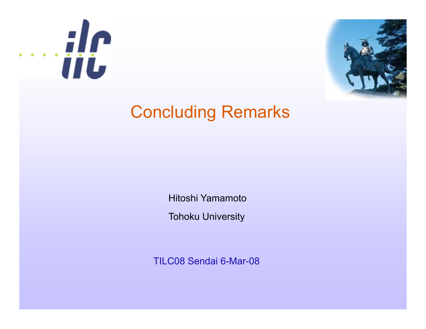



### Concluding Remarks

Hitoshi Yamamoto

Tohoku University

TILC08 Sendai 6-Mar-08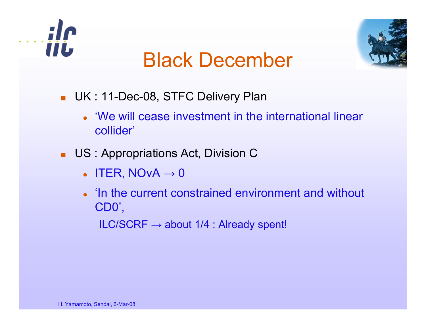



## Black December

- UK : 11-Dec-08, STFC Delivery Plan
	- 'We will cease investment in the international linear collider'
- US : Appropriations Act, Division C
	- $\bullet$  lter, nova  $\rightarrow$  0
	- In the current constrained environment and without CD0',

ILC/SCRF  $\rightarrow$  about 1/4 : Already spent!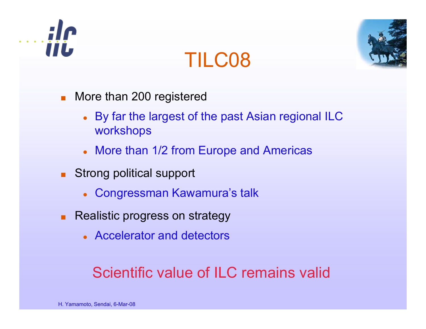

## TILC08



- More than 200 registered
	- By far the largest of the past Asian regional ILC workshops
	- More than 1/2 from Europe and Americas
- Strong political support
	- Congressman Kawamura's talk
- Realistic progress on strategy
	- Accelerator and detectors

### Scientific value of ILC remains valid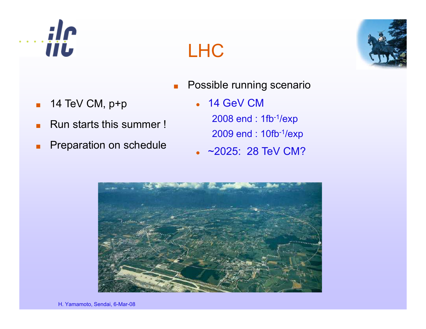

■

■

■



- ■Possible running scenario
- **14 TeV CM, p+p 614 GeV CM**  $\bullet$ 14 GeV CM 2008 end : 1fb-1/exp 2009 end : 10fb-1/exp
	- z ~2025: 28 TeV CM?
	-

LHC

Run starts this summer !

**Preparation on schedule** 

H. Yamamoto, Sendai, 6-Mar-08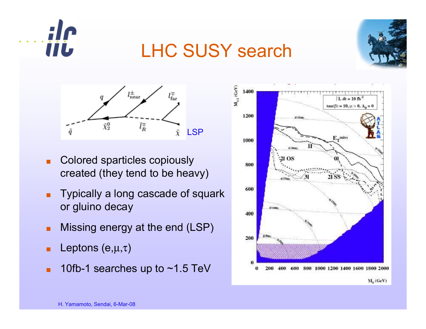

### LHC SUSY search





- ■ Colored sparticles copiously created (they tend to be heavy)
- ■ Typically a long cascade of squark or gluino decay
- ■Missing energy at the end (LSP)
- ■**Leptons** (e, $\mu,\tau$ )
- 10fb-1 searches up to  ${\sim}$ 1.5 TeV ■-1 searches up to  $\sim$ 1.5

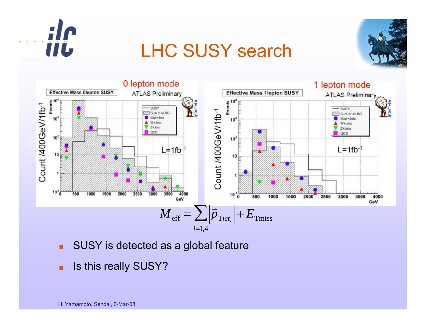

### LHC SUSY search





- ■SUSY is detected as a global feature
- ■**B** Is this really SUSY?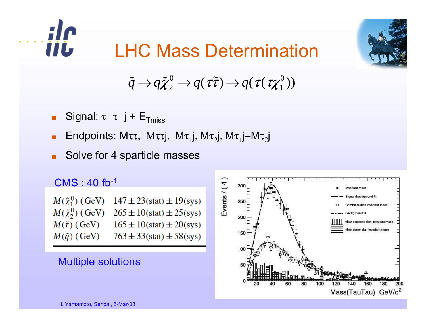

## LHC Mass Determination



#### $\tilde{q} \rightarrow q \tilde{\chi}_{2}^{\circ}$  $g^0\to q$ ( $\tau\tilde\tau)\to q$ ( $\tau$ ( $\tau\chi_1^0$  $\begin{smallmatrix} 0 \ 1 \end{smallmatrix} \big)$

- Signal: τ $^+$  τ $^-$  j +  $\mathsf{E}_{\mathsf{Tmiss}}$
- Endpoints: Μττ, Μττj, Μτ<sub>1</sub>j, Μτ<sub>2</sub>j, Μτ<sub>1</sub>j–Μτ<sub>2</sub>j
- Solve for 4 sparticle masses

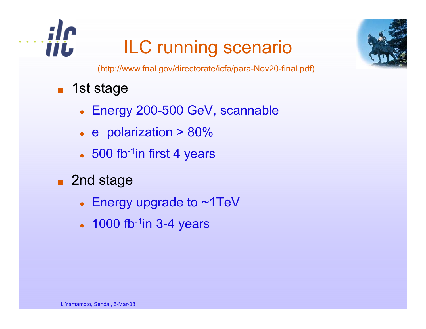

# ILC running scenario



(http://www.fnal.gov/directorate/icfa/para-Nov20-final.pdf)

- ■ 1st stage
	- Energy 200-500 GeV, scannable
	- z e − polarization > 80%
	- 500 fb<sup>-1</sup>in first 4 years
- 2nd stage
	- Energy upgrade to  $\sim$ 1TeV
	- 1000 fb $^{-1}$ in 3-4 years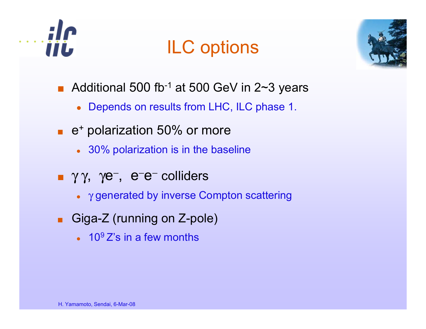

## ILC options



- Additional 500 fb<sup>-1</sup> at 500 GeV in 2~3 years
	- Depends on results from LHC, ILC phase 1.
- e<sup>+</sup> polarization 50% or more
	- 30% polarization is in the baseline
- γγ, γe<sup>-</sup>, e<sup>-</sup>e<sup>-</sup> colliders
	- $\gamma$  generated by inverse Compton scattering
- Giga-Z (running on Z-pole)
	- 10 ${}^{9}Z$ 's in a few months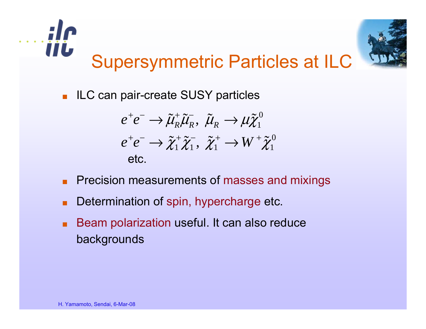

■ILC can pair-create SUSY particles

$$
e^+e^- \to \tilde{\mu}_R^+ \tilde{\mu}_R^- , \ \tilde{\mu}_R \to \mu \tilde{\chi}_1^0
$$
  
\n
$$
e^+e^- \to \tilde{\chi}_1^+ \tilde{\chi}_1^- , \ \tilde{\chi}_1^+ \to W^+ \tilde{\chi}_1^0
$$
  
\netc.

- **Precision measurements of masses and mixings**
- Determination of spin, hypercharge etc.
- Beam polarization useful. It can also reduce backgrounds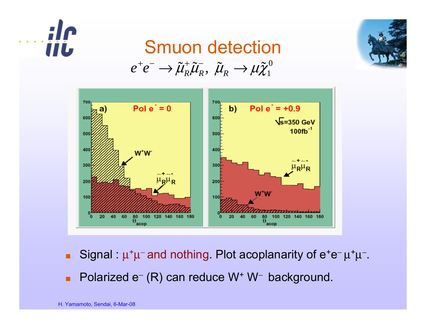

#### Smuon detection $e^+e^-\rightarrow\tilde{\mu}_{{\scriptscriptstyle D}}^{+}\tilde{\mu}_{{\scriptscriptstyle D}}^{-},\,\,\tilde{\mu}_{{\scriptscriptstyle D}}^{-}\rightarrow\mu\tilde{\chi}^0_1$ + *e*  $^{-}$   $\longrightarrow$   $\widetilde{\mu}_R^{+}\widetilde{\mu}_R^{-}, \,\, \widetilde{\mu}_R^{-}\rightarrow$   $\mu\widetilde{\chi}_1^{0}$



- ■Signal :  $\mu^+\mu^-$  and nothing. Plot acoplanarity of e<sup>+</sup>e<sup>-</sup> μ<sup>+</sup>μ<sup>-</sup>.
- ■Polarized e<sup>−</sup> (R) can reduce W+ W<sup>−</sup> background.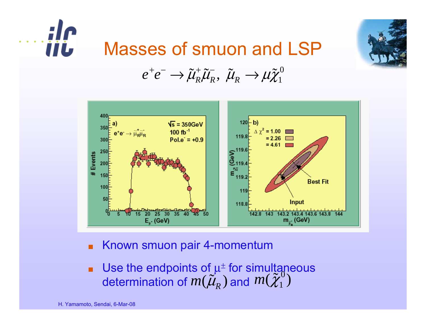



#### *e* + *e*  $^- \rightarrow \tilde{\mu}_R^+$  $\tilde{\mu}_R^+ \tilde{\mathcal{U}}_R^ \tilde{\mu}_{\scriptscriptstyle R}^{\scriptscriptstyle -}, \;\tilde{\mu}_{\scriptscriptstyle R}^{\scriptscriptstyle -}\to$   $\mu\tilde{\chi}^0_1$



- ■Known smuon pair 4-momentum
- ■ $\blacksquare$  Use the endpoints of  $\mu^\pm$  for simultaneous determination of  $m(\tilde{\mu}_{\scriptscriptstyle R}^{\scriptscriptstyle \prime})$  and  $m(\tilde{\chi}_{\scriptscriptstyle 1}^{\scriptscriptstyle \prime}$  $\left(\begin{smallmatrix} 0 \ 0 \ 1 \end{smallmatrix}\right)$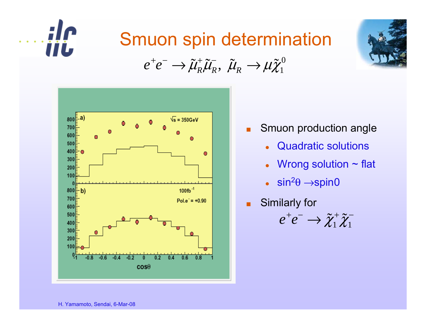

## Smuon spin determination

+ − ˜ $\bm{\mathcal{r}}$ − ˜˜ $e^+e^-\rightarrow\tilde{\mu}_R^+\tilde{\mu}_R^-,\,\,\tilde{\mu}_R^-\rightarrow\mu\tilde{\chi}^0_1$ 



■Smuon production angle

- $\bullet$ • Quadratic solutions
- Wrong solution  $\sim$  flat
- $\bullet$  $\overline{\phantom{a}}$  sin<sup>2</sup> $\theta$   $\rightarrow$ spin0
- ■Similarly for

$$
e^+e^- \to \tilde{\chi}_1^+\tilde{\chi}_1^-
$$

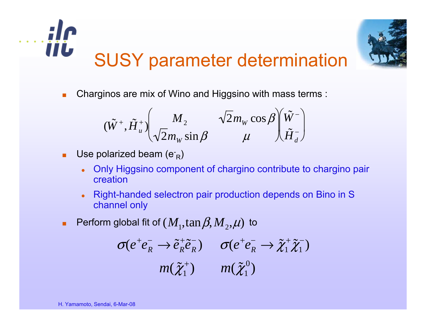



Charginos are mix of Wino and Higgsino with mass terms :

$$
(\tilde{W}^+, \tilde{H}_u^+)\begin{pmatrix} M_2 & \sqrt{2}m_W \cos \beta \\ \sqrt{2}m_W \sin \beta & \mu \end{pmatrix} \begin{pmatrix} \tilde{W}^- \\ \tilde{H}_d^- \end{pmatrix}
$$

- ■**Use polarized beam (e-**<sub>R</sub>)
	- $\bullet$  Only Higgsino component of chargino contribute to chargino pair creation
	- $\bullet$  Right-handed selectron pair production depends on Bino in S channel only
- **Perform global fit of**  $(M_1,\tan\beta,M_2,\mu)$  **to**

$$
\sigma(e^+e_R^-\to \tilde{e}_R^+\tilde{e}_R^-)\qquad \sigma(e^+e_R^-\to \tilde{\chi}_1^+\tilde{\chi}_1^-)
$$
  

$$
m(\tilde{\chi}_1^+) \qquad m(\tilde{\chi}_1^0)
$$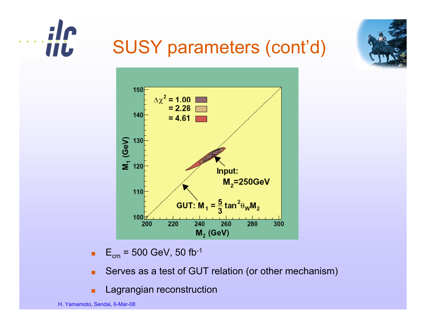



## SUSY parameters (cont'd)



■ $\mathsf{E}_{\mathsf{cm}}$  = 500 GeV, 50 fb<sup>-1</sup>

- Serves as a test of GUT relation (or other mechanism) ■
- Lagrangian reconstruction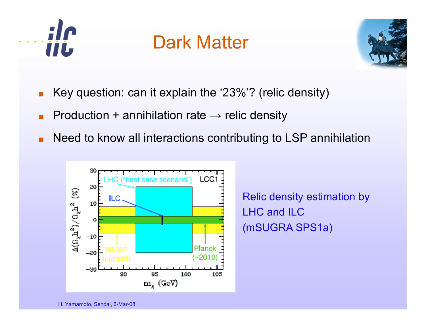

### Dark Matter



- ■Key question: can it explain the '23%'? (relic density)
- ■Production + annihilation rate  $\rightarrow$  relic density
- ■Need to know all interactions contributing to LSP annihilation



Relic density estimation by LHC and ILC (mSUGRA SPS1a)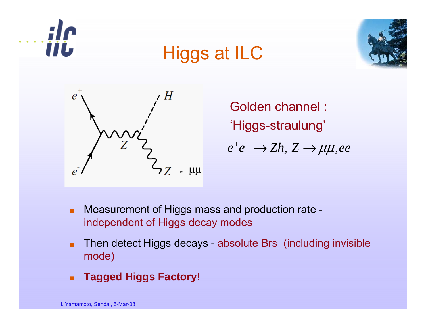







Golden channel : 'Higgs-straulung'  $e^+e^-\rightarrow Zh,\,Z\rightarrow \mu\mu,ee$ 

- ■ Measurement of Higgs mass and production rate independent of Higgs decay modes
- ■ Then detect Higgs decays - absolute Brs (including invisible mode)
- ■**Tagged Higgs Factory!**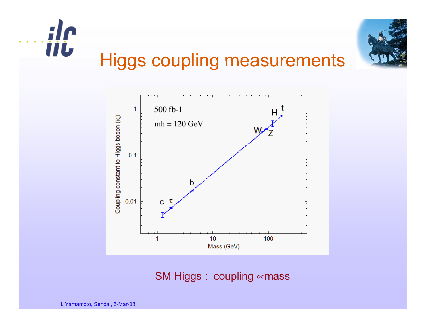



SM Higgs : coupling ∝mass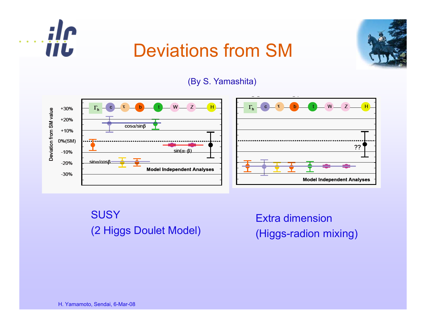

### Deviations from SM



(By S. Yamashita)



SUSY (2 Higgs Doulet Model)

Extra dimension (Higgs-radion mixing)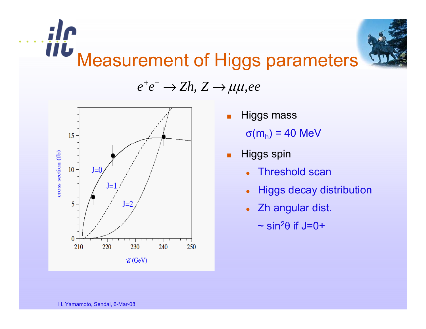

#### *e* + *e* − → *Zh*, *Z* → μμ,*ee*



- ■ Higgs mass <sup>σ</sup>(m h) = 40 MeV
- ■ Higgs spin
	- $\bullet$ Threshold scan
	- $\bullet$ Higgs decay distribution
	- $\bullet$  Zh angular dist.
		- $\thicksim$  sin $^2\theta$  if J=0+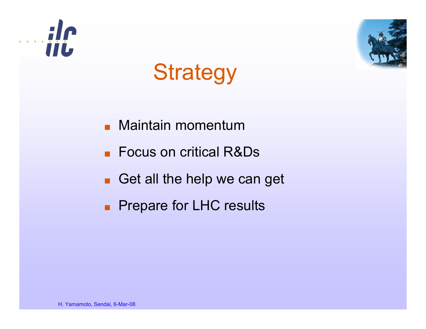



# **Strategy**

- ■Maintain momentum
- ■Focus on critical R&Ds
- ■Get all the help we can get
- ■Prepare for LHC results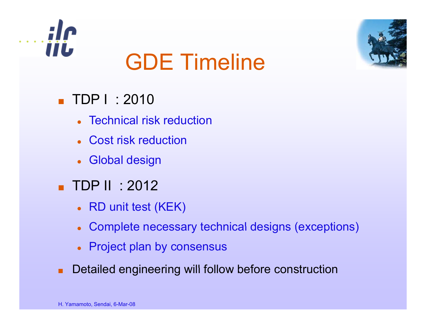



# GDE Timeline

- TDP I : 2010
	- Technical risk reduction
	- o Cost risk reduction
	- Global design
- TDP II : 2012
	- RD unit test (KEK)
	- Complete necessary technical designs (exceptions)
	- Project plan by consensus
- **Detailed engineering will follow before construction** ■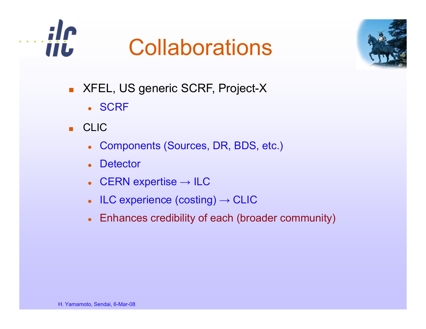

# **Collaborations**



- XFEL, US generic SCRF, Project-X
	- SCRF
- CLIC
	- Components (Sources, DR, BDS, etc.)
	- $\bullet$ **Detector**
	- CERN expertise  $\rightarrow$  ILC
	- $\bullet$  ILC experience (costing)  $\rightarrow$  CLIC
	- Enhances credibility of each (broader community)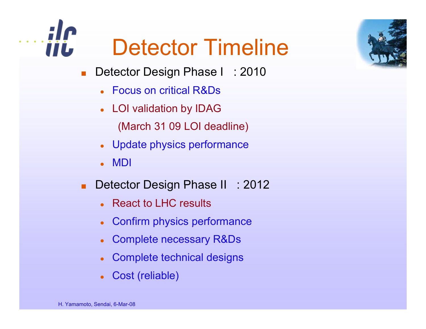



- ■Detector Design Phase I : 2010
	- Focus on critical R&Ds
	- LOI validation by IDAG (March 31 09 LOI deadline)
	- o Update physics performance
	- zMDI
- ■Detector Design Phase II : 2012
	- React to LHC results
	- z• Confirm physics performance
	- o Complete necessary R&Ds
	- zComplete technical designs
	- o Cost (reliable)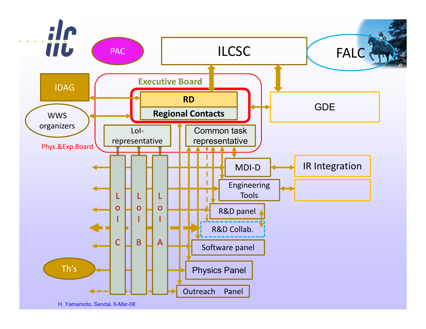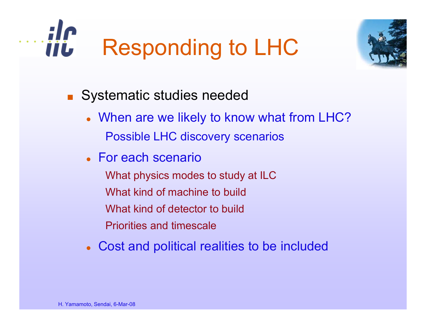



- Systematic studies needed
	- When are we likely to know what from LHC? Possible LHC discovery scenarios
	- For each scenario
		- What physics modes to study at ILC What kind of machine to buildWhat kind of detector to buildPriorities and timescale
	- Cost and political realities to be included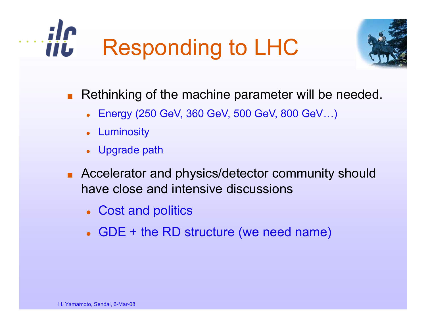



- ■ Rethinking of the machine parameter will be needed.
	- Energy (250 GeV, 360 GeV, 500 GeV, 800 GeV…)
	- Luminosity
	- Upgrade path
- Accelerator and physics/detector community should have close and intensive discussions
	- Cost and politics
	- GDE + the RD structure (we need name)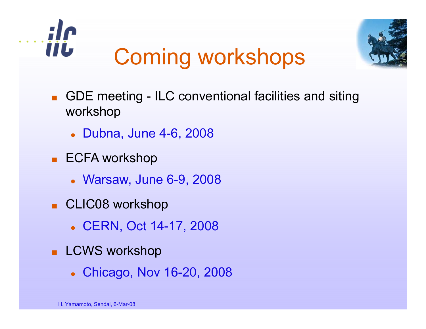



- ■■ GDE meeting - ILC conventional facilities and siting workshop
	- **Dubna, June 4-6, 2008**
- ECFA workshop
	- **Warsaw, June 6-9, 2008**
- CLIC08 workshop
	- CERN, Oct 14-17, 2008
- LCWS workshop
	- Chicago, Nov 16-20, 2008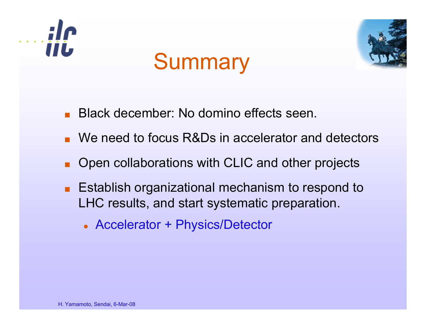

# **Summary**



- ■Black december: No domino effects seen.
- We need to focus R&Ds in accelerator and detectors
- ■Open collaborations with CLIC and other projects
- Establish organizational mechanism to respond to LHC results, and start systematic preparation.
	- Accelerator + Physics/Detector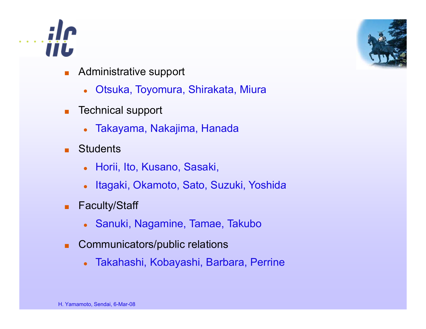



- ■ Administrative support
	- $\bullet$ Otsuka, Toyomura, Shirakata, Miura
- ■ Technical support
	- z Takayama, Nakajima, Hanada
- ■**Students** 
	- $\bullet$ Horii, Ito, Kusano, Sasaki,
	- o Itagaki, Okamoto, Sato, Suzuki, Yoshida
- ■ Faculty/Staff
	- $\bullet$ Sanuki, Nagamine, Tamae, Takubo
- ■ Communicators/public relations
	- $\bullet$ Takahashi, Kobayashi, Barbara, Perrine